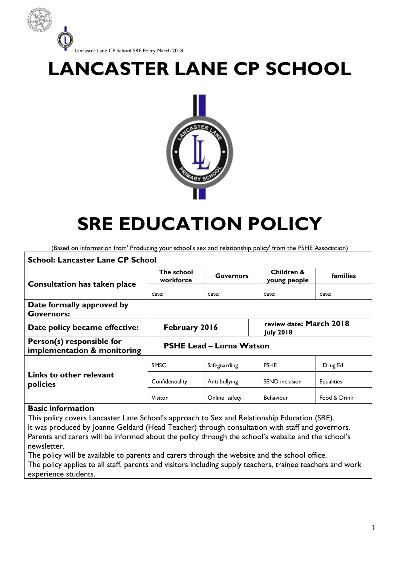

# **LANCASTER LANE CP SCHOOL**



# **SRE EDUCATION POLICY**

(Based on information from' Producing your school's sex and relationship policy' from the PSHE Association)

| <b>School: Lancaster Lane CP School</b>                  |                                 |                  |                                             |                   |
|----------------------------------------------------------|---------------------------------|------------------|---------------------------------------------|-------------------|
| <b>Consultation has taken place</b>                      | The school<br>workforce         | <b>Governors</b> | Children &<br>young people                  | families          |
|                                                          | date:                           | date:            | date:                                       | date:             |
| Date formally approved by<br><b>Governors:</b>           |                                 |                  |                                             |                   |
| Date policy became effective:                            | February 2016                   |                  | review date: March 2018<br><b>July 2018</b> |                   |
| Person(s) responsible for<br>implementation & monitoring | <b>PSHE Lead - Lorna Watson</b> |                  |                                             |                   |
| Links to other relevant<br>policies                      | <b>SMSC</b>                     | Safeguarding     | <b>PSHE</b>                                 | Drug Ed           |
|                                                          | Confidentiality                 | Anti bullying    | <b>SEND</b> inclusion                       | <b>Equalities</b> |
|                                                          | Visitor                         | Online safety    | Behaviour                                   | Food & Drink      |

#### **Basic information**

This policy covers Lancaster Lane School's approach to Sex and Relationship Education (SRE). It was produced by Joanne Geldard (Head Teacher) through consultation with staff and governors. Parents and carers will be informed about the policy through the school's website and the school's newsletter.

The policy will be available to parents and carers through the website and the school office. The policy applies to all staff, parents and visitors including supply teachers, trainee teachers and work experience students.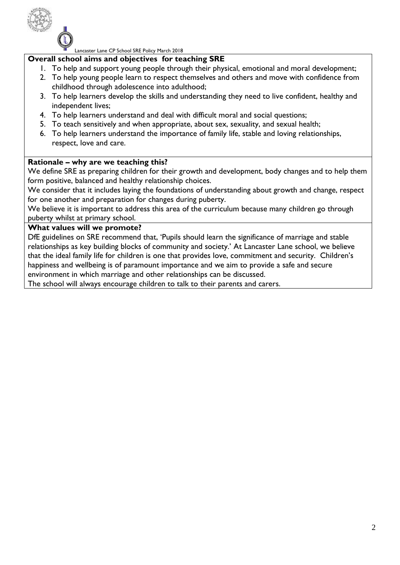

#### **Overall school aims and objectives for teaching SRE**

- 1. To help and support young people through their physical, emotional and moral development;
- 2. To help young people learn to respect themselves and others and move with confidence from childhood through adolescence into adulthood;
- 3. To help learners develop the skills and understanding they need to live confident, healthy and independent lives;
- 4. To help learners understand and deal with difficult moral and social questions;
- 5. To teach sensitively and when appropriate, about sex, sexuality, and sexual health;
- 6. To help learners understand the importance of family life, stable and loving relationships, respect, love and care.

#### **Rationale – why are we teaching this?**

We define SRE as preparing children for their growth and development, body changes and to help them form positive, balanced and healthy relationship choices.

We consider that it includes laying the foundations of understanding about growth and change, respect for one another and preparation for changes during puberty.

We believe it is important to address this area of the curriculum because many children go through puberty whilst at primary school.

#### **What values will we promote?**

DfE guidelines on SRE recommend that, 'Pupils should learn the significance of marriage and stable relationships as key building blocks of community and society.' At Lancaster Lane school, we believe that the ideal family life for children is one that provides love, commitment and security. Children's happiness and wellbeing is of paramount importance and we aim to provide a safe and secure environment in which marriage and other relationships can be discussed.

The school will always encourage children to talk to their parents and carers.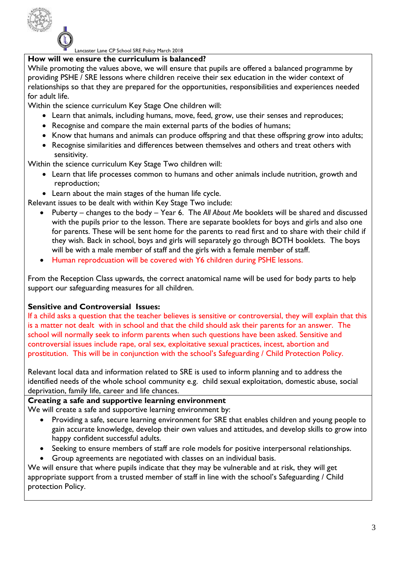

# **How will we ensure the curriculum is balanced?**

While promoting the values above, we will ensure that pupils are offered a balanced programme by providing PSHE / SRE lessons where children receive their sex education in the wider context of relationships so that they are prepared for the opportunities, responsibilities and experiences needed for adult life.

Within the science curriculum Key Stage One children will:

- Learn that animals, including humans, move, feed, grow, use their senses and reproduces;
- Recognise and compare the main external parts of the bodies of humans;
- Know that humans and animals can produce offspring and that these offspring grow into adults;
- Recognise similarities and differences between themselves and others and treat others with sensitivity.

Within the science curriculum Key Stage Two children will:

- Learn that life processes common to humans and other animals include nutrition, growth and reproduction;
- Learn about the main stages of the human life cycle.

Relevant issues to be dealt with within Key Stage Two include:

- Puberty changes to the body Year 6. The *All About Me* booklets will be shared and discussed with the pupils prior to the lesson. There are separate booklets for boys and girls and also one for parents. These will be sent home for the parents to read first and to share with their child if they wish. Back in school, boys and girls will separately go through BOTH booklets. The boys will be with a male member of staff and the girls with a female member of staff.
- Human reprodcuation will be covered with Y6 children during PSHE lessons.

From the Reception Class upwards, the correct anatomical name will be used for body parts to help support our safeguarding measures for all children.

# **Sensitive and Controversial Issues:**

If a child asks a question that the teacher believes is sensitive or controversial, they will explain that this is a matter not dealt with in school and that the child should ask their parents for an answer. The school will normally seek to inform parents when such questions have been asked. Sensitive and controversial issues include rape, oral sex, exploitative sexual practices, incest, abortion and prostitution. This will be in conjunction with the school's Safeguarding / Child Protection Policy.

Relevant local data and information related to SRE is used to inform planning and to address the identified needs of the whole school community e.g. child sexual exploitation, domestic abuse, social deprivation, family life, career and life chances.

# **Creating a safe and supportive learning environment**

We will create a safe and supportive learning environment by:

- Providing a safe, secure learning environment for SRE that enables children and young people to gain accurate knowledge, develop their own values and attitudes, and develop skills to grow into happy confident successful adults.
- Seeking to ensure members of staff are role models for positive interpersonal relationships.
- Group agreements are negotiated with classes on an individual basis.

We will ensure that where pupils indicate that they may be vulnerable and at risk, they will get appropriate support from a trusted member of staff in line with the school's Safeguarding / Child protection Policy.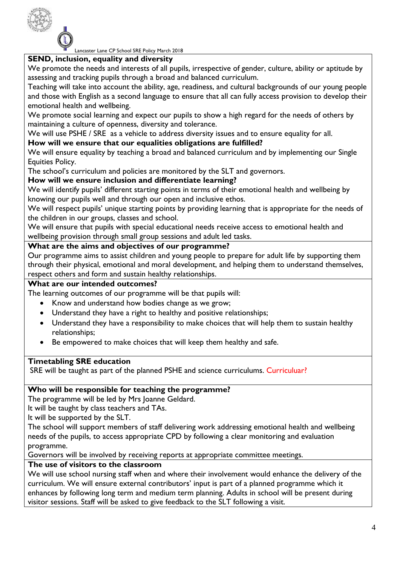

# **SEND, inclusion, equality and diversity**

We promote the needs and interests of all pupils, irrespective of gender, culture, ability or aptitude by assessing and tracking pupils through a broad and balanced curriculum.

Teaching will take into account the ability, age, readiness, and cultural backgrounds of our young people and those with English as a second language to ensure that all can fully access provision to develop their emotional health and wellbeing.

We promote social learning and expect our pupils to show a high regard for the needs of others by maintaining a culture of openness, diversity and tolerance.

We will use PSHE / SRE as a vehicle to address diversity issues and to ensure equality for all.

# **How will we ensure that our equalities obligations are fulfilled?**

We will ensure equality by teaching a broad and balanced curriculum and by implementing our Single Equities Policy.

The school's curriculum and policies are monitored by the SLT and governors.

# **How will we ensure inclusion and differentiate learning?**

We will identify pupils' different starting points in terms of their emotional health and wellbeing by knowing our pupils well and through our open and inclusive ethos.

We will respect pupils' unique starting points by providing learning that is appropriate for the needs of the children in our groups, classes and school.

We will ensure that pupils with special educational needs receive access to emotional health and wellbeing provision through small group sessions and adult led tasks.

# **What are the aims and objectives of our programme?**

Our programme aims to assist children and young people to prepare for adult life by supporting them through their physical, emotional and moral development, and helping them to understand themselves, respect others and form and sustain healthy relationships.

#### **What are our intended outcomes?**

The learning outcomes of our programme will be that pupils will:

- Know and understand how bodies change as we grow;
- Understand they have a right to healthy and positive relationships;
- Understand they have a responsibility to make choices that will help them to sustain healthy relationships;
- Be empowered to make choices that will keep them healthy and safe.

# **Timetabling SRE education**

SRE will be taught as part of the planned PSHE and science curriculums. Curriculuar?

# **Who will be responsible for teaching the programme?**

The programme will be led by Mrs Joanne Geldard.

It will be taught by class teachers and TAs.

It will be supported by the SLT.

The school will support members of staff delivering work addressing emotional health and wellbeing needs of the pupils, to access appropriate CPD by following a clear monitoring and evaluation programme.

Governors will be involved by receiving reports at appropriate committee meetings.

# **The use of visitors to the classroom**

We will use school nursing staff when and where their involvement would enhance the delivery of the curriculum. We will ensure external contributors' input is part of a planned programme which it enhances by following long term and medium term planning. Adults in school will be present during visitor sessions. Staff will be asked to give feedback to the SLT following a visit.